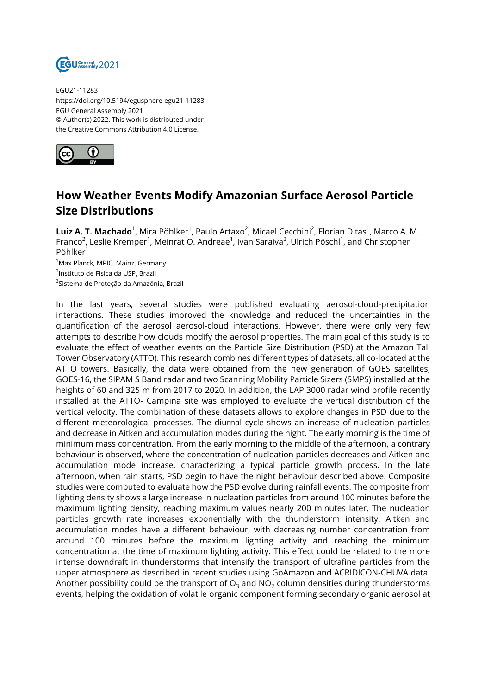

EGU21-11283 https://doi.org/10.5194/egusphere-egu21-11283 EGU General Assembly 2021 © Author(s) 2022. This work is distributed under the Creative Commons Attribution 4.0 License.



## **How Weather Events Modify Amazonian Surface Aerosol Particle Size Distributions**

**Luiz A. T. Machado**<sup>1</sup>, Mira Pöhlker<sup>1</sup>, Paulo Artaxo<sup>2</sup>, Micael Cecchini<sup>2</sup>, Florian Ditas<sup>1</sup>, Marco A. M. Franco<sup>2</sup>, Leslie Kremper<sup>1</sup>, Meinrat O. Andreae<sup>1</sup>, Ivan Saraiva<sup>3</sup>, Ulrich Pöschl<sup>1</sup>, and Christopher Pöhlker<sup>1</sup>

<sup>1</sup>Max Planck, MPIC, Mainz, Germany 2 Instituto de Física da USP, Brazil <sup>3</sup>Sistema de Proteção da Amazônia, Brazil

In the last years, several studies were published evaluating aerosol-cloud-precipitation interactions. These studies improved the knowledge and reduced the uncertainties in the quantification of the aerosol aerosol-cloud interactions. However, there were only very few attempts to describe how clouds modify the aerosol properties. The main goal of this study is to evaluate the effect of weather events on the Particle Size Distribution (PSD) at the Amazon Tall Tower Observatory (ATTO). This research combines different types of datasets, all co-located at the ATTO towers. Basically, the data were obtained from the new generation of GOES satellites, GOES-16, the SIPAM S Band radar and two Scanning Mobility Particle Sizers (SMPS) installed at the heights of 60 and 325 m from 2017 to 2020. In addition, the LAP 3000 radar wind profile recently installed at the ATTO- Campina site was employed to evaluate the vertical distribution of the vertical velocity. The combination of these datasets allows to explore changes in PSD due to the different meteorological processes. The diurnal cycle shows an increase of nucleation particles and decrease in Aitken and accumulation modes during the night. The early morning is the time of minimum mass concentration. From the early morning to the middle of the afternoon, a contrary behaviour is observed, where the concentration of nucleation particles decreases and Aitken and accumulation mode increase, characterizing a typical particle growth process. In the late afternoon, when rain starts, PSD begin to have the night behaviour described above. Composite studies were computed to evaluate how the PSD evolve during rainfall events. The composite from lighting density shows a large increase in nucleation particles from around 100 minutes before the maximum lighting density, reaching maximum values nearly 200 minutes later. The nucleation particles growth rate increases exponentially with the thunderstorm intensity. Aitken and accumulation modes have a different behaviour, with decreasing number concentration from around 100 minutes before the maximum lighting activity and reaching the minimum concentration at the time of maximum lighting activity. This effect could be related to the more intense downdraft in thunderstorms that intensify the transport of ultrafine particles from the upper atmosphere as described in recent studies using GoAmazon and ACRIDICON-CHUVA data. Another possibility could be the transport of  $O_3$  and NO<sub>2</sub> column densities during thunderstorms events, helping the oxidation of volatile organic component forming secondary organic aerosol at